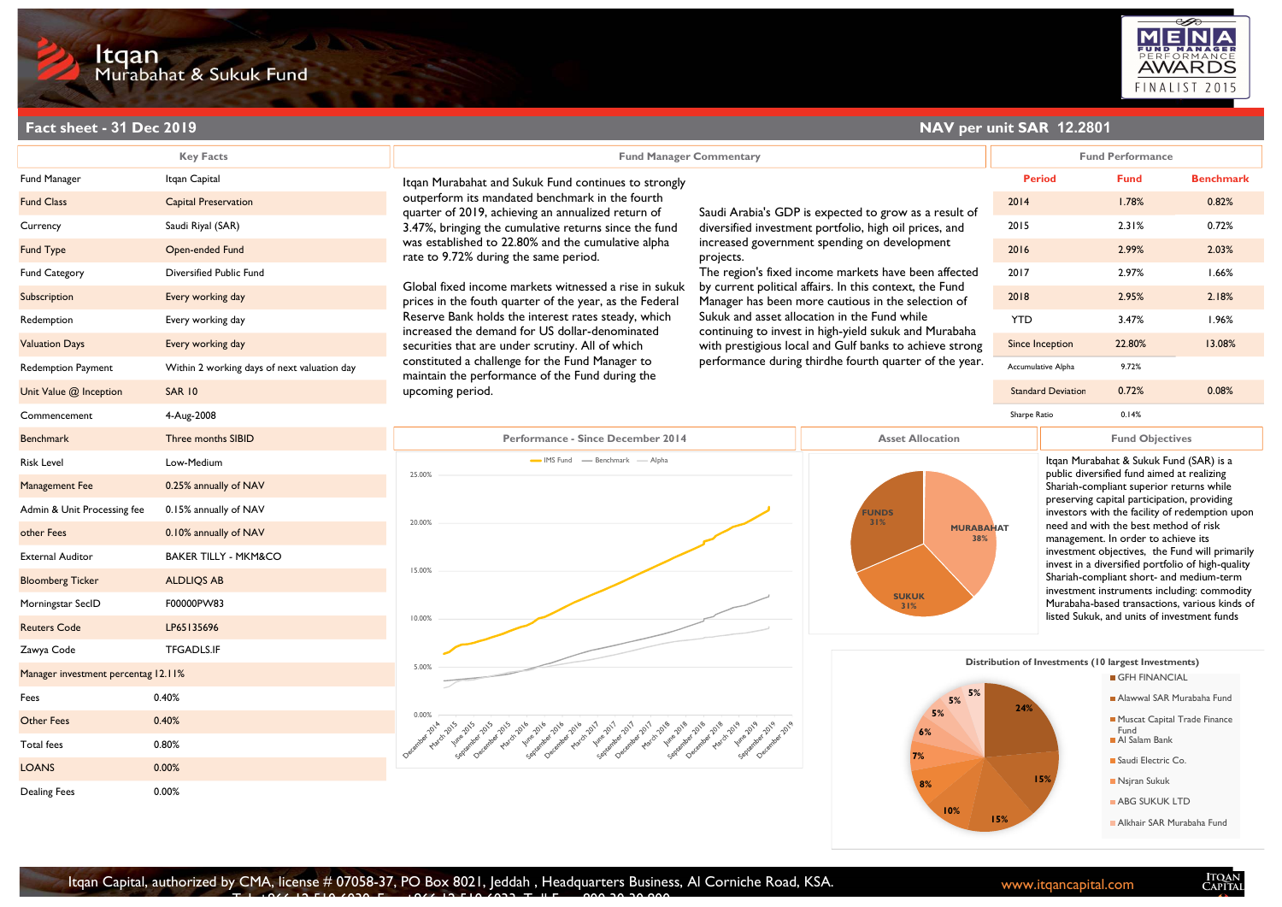Dealing Fees

0.00%



|                                     | Itqan<br>Murabahat & Sukuk Fund             |                                                                                                                                                                                                                                                                                                                                                                                                                                                                                                                                                                                                   |                                                                                                                                                                             |                                                        |                                                                                               |                                                                                                                                             | MENA<br><b>AWARDS</b><br>FINALIST 2015 |
|-------------------------------------|---------------------------------------------|---------------------------------------------------------------------------------------------------------------------------------------------------------------------------------------------------------------------------------------------------------------------------------------------------------------------------------------------------------------------------------------------------------------------------------------------------------------------------------------------------------------------------------------------------------------------------------------------------|-----------------------------------------------------------------------------------------------------------------------------------------------------------------------------|--------------------------------------------------------|-----------------------------------------------------------------------------------------------|---------------------------------------------------------------------------------------------------------------------------------------------|----------------------------------------|
| Fact sheet - 31 Dec 2019            |                                             |                                                                                                                                                                                                                                                                                                                                                                                                                                                                                                                                                                                                   |                                                                                                                                                                             |                                                        | NAV per unit SAR 12.2801                                                                      |                                                                                                                                             |                                        |
|                                     | <b>Key Facts</b>                            | <b>Fund Manager Commentary</b>                                                                                                                                                                                                                                                                                                                                                                                                                                                                                                                                                                    |                                                                                                                                                                             |                                                        | <b>Fund Performance</b>                                                                       |                                                                                                                                             |                                        |
| Fund Manager                        | Itqan Capital                               | Itqan Murabahat and Sukuk Fund continues to strongly                                                                                                                                                                                                                                                                                                                                                                                                                                                                                                                                              | Saudi Arabia's GDP is expected to grow as a result of                                                                                                                       |                                                        | <b>Period</b>                                                                                 | <b>Fund</b>                                                                                                                                 | <b>Benchmark</b>                       |
| <b>Fund Class</b>                   | <b>Capital Preservation</b>                 | outperform its mandated benchmark in the fourth<br>quarter of 2019, achieving an annualized return of<br>3.47%, bringing the cumulative returns since the fund<br>was established to 22.80% and the cumulative alpha<br>rate to 9.72% during the same period.<br>Global fixed income markets witnessed a rise in sukuk<br>prices in the fouth quarter of the year, as the Federal<br>Reserve Bank holds the interest rates steady, which<br>increased the demand for US dollar-denominated<br>securities that are under scrutiny. All of which<br>constituted a challenge for the Fund Manager to |                                                                                                                                                                             |                                                        | 2014                                                                                          | 1.78%                                                                                                                                       | 0.82%                                  |
| Currency                            | Saudi Riyal (SAR)                           |                                                                                                                                                                                                                                                                                                                                                                                                                                                                                                                                                                                                   | diversified investment portfolio, high oil prices, and<br>increased government spending on development<br>projects.<br>The region's fixed income markets have been affected |                                                        | 2015                                                                                          | 2.31%                                                                                                                                       | 0.72%                                  |
| <b>Fund Type</b>                    | Open-ended Fund                             |                                                                                                                                                                                                                                                                                                                                                                                                                                                                                                                                                                                                   |                                                                                                                                                                             | 2016                                                   | 2.99%                                                                                         | 2.03%                                                                                                                                       |                                        |
| Fund Category                       | Diversified Public Fund                     |                                                                                                                                                                                                                                                                                                                                                                                                                                                                                                                                                                                                   |                                                                                                                                                                             | 2017                                                   | 2.97%                                                                                         | 1.66%                                                                                                                                       |                                        |
| Subscription                        | Every working day                           |                                                                                                                                                                                                                                                                                                                                                                                                                                                                                                                                                                                                   | by current political affairs. In this context, the Fund<br>Manager has been more cautious in the selection of                                                               |                                                        | 2018                                                                                          | 2.95%                                                                                                                                       | 2.18%                                  |
| Redemption                          | Every working day                           |                                                                                                                                                                                                                                                                                                                                                                                                                                                                                                                                                                                                   | Sukuk and asset allocation in the Fund while                                                                                                                                | <b>YTD</b>                                             | 3.47%                                                                                         | 1.96%                                                                                                                                       |                                        |
| <b>Valuation Days</b>               | Every working day                           |                                                                                                                                                                                                                                                                                                                                                                                                                                                                                                                                                                                                   | continuing to invest in high-yield sukuk and Murabaha<br>with prestigious local and Gulf banks to achieve strong                                                            |                                                        | Since Inception                                                                               | 22.80%                                                                                                                                      | 13.08%                                 |
| <b>Redemption Payment</b>           | Within 2 working days of next valuation day |                                                                                                                                                                                                                                                                                                                                                                                                                                                                                                                                                                                                   |                                                                                                                                                                             | performance during thirdhe fourth quarter of the year. |                                                                                               | 9.72%                                                                                                                                       |                                        |
| Unit Value @ Inception              | <b>SAR 10</b>                               | maintain the performance of the Fund during the<br>upcoming period.                                                                                                                                                                                                                                                                                                                                                                                                                                                                                                                               |                                                                                                                                                                             |                                                        | <b>Standard Deviation</b>                                                                     | 0.72%                                                                                                                                       | 0.08%                                  |
| Commencement                        | 4-Aug-2008                                  |                                                                                                                                                                                                                                                                                                                                                                                                                                                                                                                                                                                                   |                                                                                                                                                                             |                                                        | Sharpe Ratio                                                                                  | 0.14%                                                                                                                                       |                                        |
| <b>Benchmark</b>                    | Three months SIBID                          | Performance - Since December 2014                                                                                                                                                                                                                                                                                                                                                                                                                                                                                                                                                                 | <b>Asset Allocation</b>                                                                                                                                                     |                                                        | <b>Fund Objectives</b>                                                                        |                                                                                                                                             |                                        |
| Risk Level                          | Low-Medium                                  | MS Fund - Benchmark - Alpha                                                                                                                                                                                                                                                                                                                                                                                                                                                                                                                                                                       |                                                                                                                                                                             |                                                        |                                                                                               | Itgan Murabahat & Sukuk Fund (SAR) is a<br>public diversified fund aimed at realizing<br>Shariah-compliant superior returns while           |                                        |
| Management Fee                      | 0.25% annually of NAV                       | 25.00%                                                                                                                                                                                                                                                                                                                                                                                                                                                                                                                                                                                            |                                                                                                                                                                             |                                                        |                                                                                               |                                                                                                                                             |                                        |
| Admin & Unit Processing fee         | 0.15% annually of NAV                       |                                                                                                                                                                                                                                                                                                                                                                                                                                                                                                                                                                                                   |                                                                                                                                                                             |                                                        |                                                                                               | preserving capital participation, providing<br>investors with the facility of redemption upon                                               |                                        |
| other Fees                          | 0.10% annually of NAV                       | 20.00%                                                                                                                                                                                                                                                                                                                                                                                                                                                                                                                                                                                            | <b>FUNDS</b><br>31%<br><b>MURABAHAT</b><br>38%                                                                                                                              |                                                        | need and with the best method of risk<br>management. In order to achieve its                  |                                                                                                                                             |                                        |
| <b>External Auditor</b>             | <b>BAKER TILLY - MKM&amp;CO</b>             |                                                                                                                                                                                                                                                                                                                                                                                                                                                                                                                                                                                                   |                                                                                                                                                                             |                                                        | investment objectives, the Fund will primarily                                                |                                                                                                                                             |                                        |
| <b>Bloomberg Ticker</b>             | <b>ALDLIQS AB</b>                           | 15.00%                                                                                                                                                                                                                                                                                                                                                                                                                                                                                                                                                                                            |                                                                                                                                                                             |                                                        | invest in a diversified portfolio of high-quality<br>Shariah-compliant short- and medium-term |                                                                                                                                             |                                        |
| Morningstar SecID                   | F00000PW83                                  |                                                                                                                                                                                                                                                                                                                                                                                                                                                                                                                                                                                                   |                                                                                                                                                                             | <b>SUKUK</b><br>31%                                    |                                                                                               | investment instruments including: commodity<br>Murabaha-based transactions, various kinds of<br>listed Sukuk, and units of investment funds |                                        |
| <b>Reuters Code</b>                 | LP65135696                                  | 10.00%                                                                                                                                                                                                                                                                                                                                                                                                                                                                                                                                                                                            |                                                                                                                                                                             |                                                        |                                                                                               |                                                                                                                                             |                                        |
| Zawya Code                          | <b>TFGADLS.IF</b>                           |                                                                                                                                                                                                                                                                                                                                                                                                                                                                                                                                                                                                   |                                                                                                                                                                             |                                                        |                                                                                               |                                                                                                                                             |                                        |
| Manager investment percentag 12.11% |                                             | 5.00%                                                                                                                                                                                                                                                                                                                                                                                                                                                                                                                                                                                             |                                                                                                                                                                             |                                                        | Distribution of Investments (10 largest Investments)<br>GFH FINANCIAL                         |                                                                                                                                             |                                        |
| Fees                                | 0.40%                                       |                                                                                                                                                                                                                                                                                                                                                                                                                                                                                                                                                                                                   |                                                                                                                                                                             | $5\%$ 5%                                               |                                                                                               | Alawwal SAR Murabaha Fund                                                                                                                   |                                        |
| <b>Other Fees</b>                   | 0.40%                                       |                                                                                                                                                                                                                                                                                                                                                                                                                                                                                                                                                                                                   | 5%                                                                                                                                                                          |                                                        |                                                                                               | Muscat Capital Trade Finance                                                                                                                |                                        |
| Total fees                          | 0.80%                                       | e the state of the state of the state of the state of the state of the state of the state of the state of the                                                                                                                                                                                                                                                                                                                                                                                                                                                                                     |                                                                                                                                                                             |                                                        | Fund<br>Al Salam Bank                                                                         |                                                                                                                                             |                                        |
| <b>LOANS</b>                        | 0.00%                                       |                                                                                                                                                                                                                                                                                                                                                                                                                                                                                                                                                                                                   |                                                                                                                                                                             |                                                        |                                                                                               | Saudi Electric Co.                                                                                                                          |                                        |
|                                     |                                             |                                                                                                                                                                                                                                                                                                                                                                                                                                                                                                                                                                                                   |                                                                                                                                                                             |                                                        |                                                                                               | Nsjran Sukuk                                                                                                                                |                                        |

15%

10%

8%



ABG SUKUK LTD Alkhair SAR Murabaha Fund